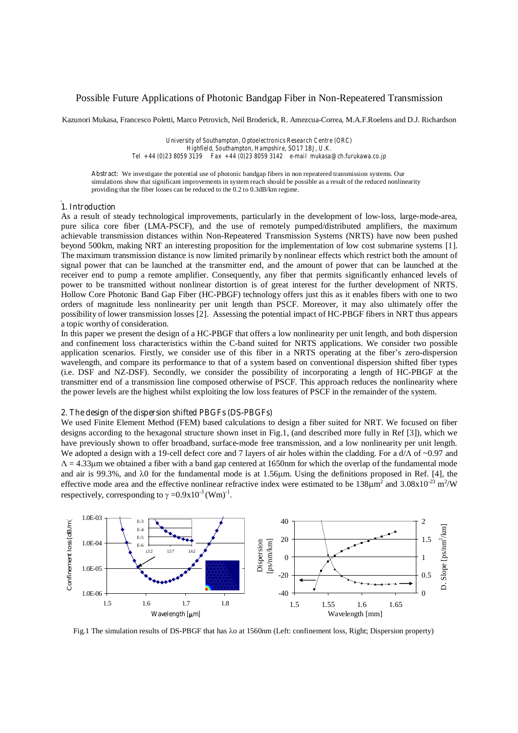# Possible Future Applications of Photonic Bandgap Fiber in Non-Repeatered Transmission

Kazunori Mukasa, Francesco Poletti, Marco Petrovich, Neil Broderick, R. Amezcua-Correa, M.A.F.Roelens and D.J. Richardson

*University of Southampton, Optoelectronics Research Centre (ORC) Highfield, Southampton, Hampshire, SO17 1BJ, U.K. Tel +44 (0)23 8059 3139 Fax +44 (0)23 8059 3142 e-mail mukasa@ch.furukawa.co.jp*

**Abstract**: We investigate the potential use of photonic bandgap fibers in non repeatered transmission systems. Our simulations show that significant improvements in system reach should be possible as a result of the reduced nonlinearity providing that the fiber losses can be reduced to the 0.2 to 0.3dB/km regime.

### **1. Introduction**

As a result of steady technological improvements, particularly in the development of low-loss, large-mode-area, pure silica core fiber (LMA-PSCF), and the use of remotely pumped/distributed amplifiers, the maximum achievable transmission distances within Non-Repeatered Transmission Systems (NRTS) have now been pushed beyond 500km, making NRT an interesting proposition for the implementation of low cost submarine systems [1]. The maximum transmission distance is now limited primarily by nonlinear effects which restrict both the amount of signal power that can be launched at the transmitter end, and the amount of power that can be launched at the receiver end to pump a remote amplifier. Consequently, any fiber that permits significantly enhanced levels of power to be transmitted without nonlinear distortion is of great interest for the further development of NRTS. Hollow Core Photonic Band Gap Fiber (HC-PBGF) technology offers just this as it enables fibers with one to two orders of magnitude less nonlinearity per unit length than PSCF. Moreover, it may also ultimately offer the possibility of lower transmission losses [2]. Assessing the potential impact of HC-PBGF fibers in NRT thus appears a topic worthy of consideration.

In this paper we present the design of a HC-PBGF that offers a low nonlinearity per unit length, and both dispersion and confinement loss characteristics within the C-band suited for NRTS applications. We consider two possible application scenarios. Firstly, we consider use of this fiber in a NRTS operating at the fiber's zero-dispersion wavelength, and compare its performance to that of a system based on conventional dispersion shifted fiber types (i.e. DSF and NZ-DSF). Secondly, we consider the possibility of incorporating a length of HC-PBGF at the transmitter end of a transmission line composed otherwise of PSCF. This approach reduces the nonlinearity where the power levels are the highest whilst exploiting the low loss features of PSCF in the remainder of the system.

### **2. The design of the dispersion shifted PBGFs (DS-PBGFs)**

We used Finite Element Method (FEM) based calculations to design a fiber suited for NRT. We focused on fiber designs according to the hexagonal structure shown inset in Fig.1, (and described more fully in Ref [3]), which we have previously shown to offer broadband, surface-mode free transmission, and a low nonlinearity per unit length. We adopted a design with a 19-cell defect core and 7 layers of air holes within the cladding. For a  $d/\Lambda$  of  $\sim 0.97$  and  $Λ = 4.33$ μm we obtained a fiber with a band gap centered at 1650nm for which the overlap of the fundamental mode and air is 99.3%, and  $\lambda$ 0 for the fundamental mode is at 1.56 $\mu$ m. Using the definitions proposed in Ref. [4], the effective mode area and the effective nonlinear refractive index were estimated to be  $138\mu m^2$  and  $3.08x10^{-23}$  m<sup>2</sup>/W respectively, corresponding to  $\gamma = 0.9 \times 10^{-3}$  (Wm)<sup>-1</sup>.



Fig.1 The simulation results of DS-PBGF that has  $\lambda$ o at 1560nm (Left: confinement loss, Right; Dispersion property)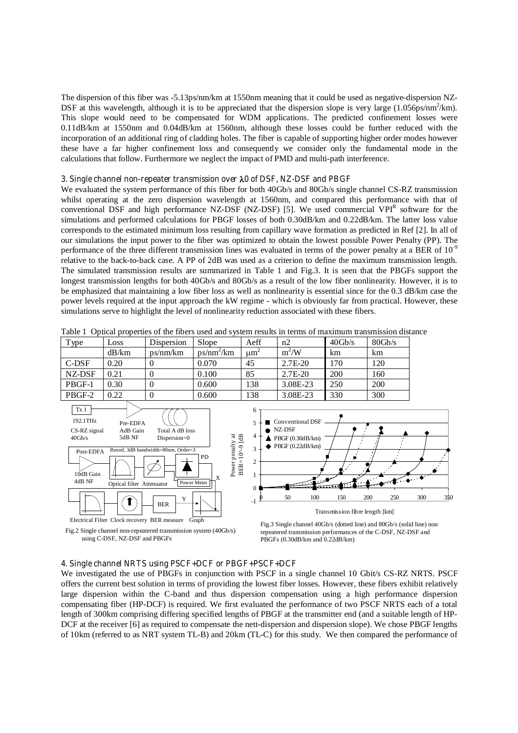The dispersion of this fiber was -5.13ps/nm/km at 1550nm meaning that it could be used as negative-dispersion NZ-DSF at this wavelength, although it is to be appreciated that the dispersion slope is very large (1.056ps/nm<sup>2</sup>/km). This slope would need to be compensated for WDM applications. The predicted confinement losses were 0.11dB/km at 1550nm and 0.04dB/km at 1560nm, although these losses could be further reduced with the incorporation of an additional ring of cladding holes. The fiber is capable of supporting higher order modes however these have a far higher confinement loss and consequently we consider only the fundamental mode in the calculations that follow. Furthermore we neglect the impact of PMD and multi-path interference.

# **3. Single channel non-repeater transmission over** O**0 of DSF, NZ-DSF and PBGF**

We evaluated the system performance of this fiber for both 40Gb/s and 80Gb/s single channel CS-RZ transmission whilst operating at the zero dispersion wavelength at 1560nm, and compared this performance with that of conventional DSF and high performance NZ-DSF (NZ-DSF) [5]. We used commercial VPI<sup>R</sup> software for the simulations and performed calculations for PBGF losses of both 0.30dB/km and 0.22dB/km. The latter loss value corresponds to the estimated minimum loss resulting from capillary wave formation as predicted in Ref [2]. In all of our simulations the input power to the fiber was optimized to obtain the lowest possible Power Penalty (PP). The performance of the three different transmission lines was evaluated in terms of the power penalty at a BER of 10<sup>-9</sup> relative to the back-to-back case. A PP of 2dB was used as a criterion to define the maximum transmission length. The simulated transmission results are summarized in Table 1 and Fig.3. It is seen that the PBGFs support the longest transmission lengths for both 40Gb/s and 80Gb/s as a result of the low fiber nonlinearity. However, it is to be emphasized that maintaining a low fiber loss as well as nonlinearity is essential since for the 0.3 dB/km case the power levels required at the input approach the kW regime - which is obviously far from practical. However, these simulations serve to highlight the level of nonlinearity reduction associated with these fibers.

| Type                                                                              | Loss                                                                                                        | Dispersion                                                                                | Slope                                                                 | Aeff                          | n2                                                                                                                                                                        | 40Gb/s                                | 80Gb/s     |            |  |
|-----------------------------------------------------------------------------------|-------------------------------------------------------------------------------------------------------------|-------------------------------------------------------------------------------------------|-----------------------------------------------------------------------|-------------------------------|---------------------------------------------------------------------------------------------------------------------------------------------------------------------------|---------------------------------------|------------|------------|--|
|                                                                                   | dB/km                                                                                                       | ps/nm/km                                                                                  | $ps/nm^2/km$                                                          | $\mu$ m <sup>2</sup>          | $m^2/W$                                                                                                                                                                   | km                                    | km         |            |  |
| C-DSF                                                                             | 0.20                                                                                                        | 0                                                                                         | 0.070                                                                 | 45                            | 2.7E-20                                                                                                                                                                   | 170                                   | 120        |            |  |
| NZ-DSF                                                                            | 0.21                                                                                                        | $\Omega$                                                                                  | 0.100                                                                 | 85                            | 2.7E-20                                                                                                                                                                   | 200                                   | 160        |            |  |
| PBGF-1                                                                            | 0.30                                                                                                        | $\Omega$                                                                                  | 0.600                                                                 | 138                           | 3.08E-23                                                                                                                                                                  | 250                                   | 200        |            |  |
| PBGF-2                                                                            | 0.22                                                                                                        | $\Omega$                                                                                  | 0.600                                                                 | 138                           | 3.08E-23                                                                                                                                                                  | 330                                   | 300        |            |  |
| Tx 1<br>192.1THz<br>CS-RZ signal<br>$40$ Gb/s<br>Post-EDFA<br>10dB Gain<br>4dB NF | Pre-EDFA<br>AdB Gain<br>5dB NF<br>Optical filter Attenuator<br>Electrical Filter Clock recovery BER measure | Total A dB loss<br>Dispersion=0<br>Bessel, 3dB bandwidth=80nm, Order=3<br>Y<br><b>BER</b> | BER=10^-9 [dB]<br>Power penalty at<br>PD<br>X<br>Power Meter<br>Graph | 6<br>5<br>4<br>3<br>2<br>$-1$ | Conventional DSF<br>NZ-DSF<br>PBGF(0.30dB/km)<br>PBGF (0.22dB/km)<br>50<br>100                                                                                            | 150<br>Transmission fibre length [km] | 200<br>250 | 300<br>350 |  |
|                                                                                   | using C-DSF, NZ-DSF and PBGFs                                                                               | Fig.2 Single channel non-repeatered transmission system (40Gb/s)                          |                                                                       |                               | Fig.3 Single channel 40Gb/s (dotted line) and 80Gb/s (solid line) non<br>repeatered transmission performances of the C-DSF, NZ-DSF and<br>PBGFs (0.30dB/km and 0.22dB/km) |                                       |            |            |  |

Table 1 Optical properties of the fibers used and system results in terms of maximum transmission distance

#### **4. Single channel NRTS using PSCF+DCF or PBGF+PSCF+DCF**

We investigated the use of PBGFs in conjunction with PSCF in a single channel 10 Gbit/s CS-RZ NRTS. PSCF offers the current best solution in terms of providing the lowest fiber losses. However, these fibers exhibit relatively large dispersion within the C-band and thus dispersion compensation using a high performance dispersion compensating fiber (HP-DCF) is required. We first evaluated the performance of two PSCF NRTS each of a total length of 300km comprising differing specified lengths of PBGF at the transmitter end (and a suitable length of HP-DCF at the receiver [6] as required to compensate the nett-dispersion and dispersion slope). We chose PBGF lengths of 10km (referred to as NRT system TL-B) and 20km (TL-C) for this study. We then compared the performance of